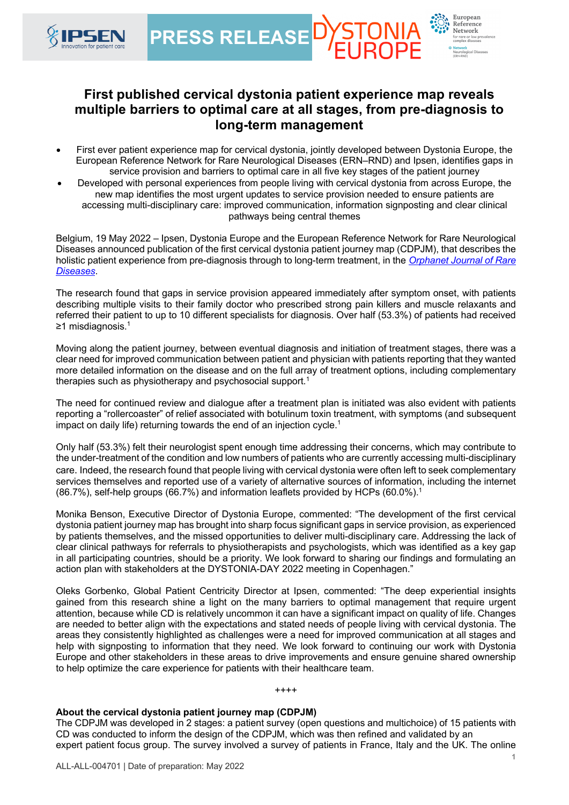

European Reference Network



- First ever patient experience map for cervical dystonia, jointly developed between Dystonia Europe, the European Reference Network for Rare Neurological Diseases (ERN–RND) and Ipsen, identifies gaps in service provision and barriers to optimal care in all five key stages of the patient journey
- Developed with personal experiences from people living with cervical dystonia from across Europe, the new map identifies the most urgent updates to service provision needed to ensure patients are accessing multi-disciplinary care: improved communication, information signposting and clear clinical pathways being central themes

Belgium, 19 May 2022 – Ipsen, Dystonia Europe and the European Reference Network for Rare Neurological Diseases announced publication of the first cervical dystonia patient journey map (CDPJM), that describes the holistic patient experience from pre-diagnosis through to long-term treatment, in the *Orphanet Journal of Rare Diseases*.

The research found that gaps in service provision appeared immediately after symptom onset, with patients describing multiple visits to their family doctor who prescribed strong pain killers and muscle relaxants and referred their patient to up to 10 different specialists for diagnosis. Over half (53.3%) of patients had received ≥1 misdiagnosis.1

Moving along the patient journey, between eventual diagnosis and initiation of treatment stages, there was a clear need for improved communication between patient and physician with patients reporting that they wanted more detailed information on the disease and on the full array of treatment options, including complementary therapies such as physiotherapy and psychosocial support.<sup>1</sup>

The need for continued review and dialogue after a treatment plan is initiated was also evident with patients reporting a "rollercoaster" of relief associated with botulinum toxin treatment, with symptoms (and subsequent impact on daily life) returning towards the end of an injection cycle.<sup>1</sup>

Only half (53.3%) felt their neurologist spent enough time addressing their concerns, which may contribute to the under-treatment of the condition and low numbers of patients who are currently accessing multi-disciplinary care. Indeed, the research found that people living with cervical dystonia were often left to seek complementary services themselves and reported use of a variety of alternative sources of information, including the internet (86.7%), self-help groups (66.7%) and information leaflets provided by HCPs (60.0%).1

Monika Benson, Executive Director of Dystonia Europe, commented: "The development of the first cervical dystonia patient journey map has brought into sharp focus significant gaps in service provision, as experienced by patients themselves, and the missed opportunities to deliver multi-disciplinary care. Addressing the lack of clear clinical pathways for referrals to physiotherapists and psychologists, which was identified as a key gap in all participating countries, should be a priority. We look forward to sharing our findings and formulating an action plan with stakeholders at the DYSTONIA-DAY 2022 meeting in Copenhagen."

Oleks Gorbenko, Global Patient Centricity Director at Ipsen, commented: "The deep experiential insights gained from this research shine a light on the many barriers to optimal management that require urgent attention, because while CD is relatively uncommon it can have a significant impact on quality of life. Changes are needed to better align with the expectations and stated needs of people living with cervical dystonia. The areas they consistently highlighted as challenges were a need for improved communication at all stages and help with signposting to information that they need. We look forward to continuing our work with Dystonia Europe and other stakeholders in these areas to drive improvements and ensure genuine shared ownership to help optimize the care experience for patients with their healthcare team.

++++

# **About the cervical dystonia patient journey map (CDPJM)**

The CDPJM was developed in 2 stages: a patient survey (open questions and multichoice) of 15 patients with CD was conducted to inform the design of the CDPJM, which was then refined and validated by an expert patient focus group. The survey involved a survey of patients in France, Italy and the UK. The online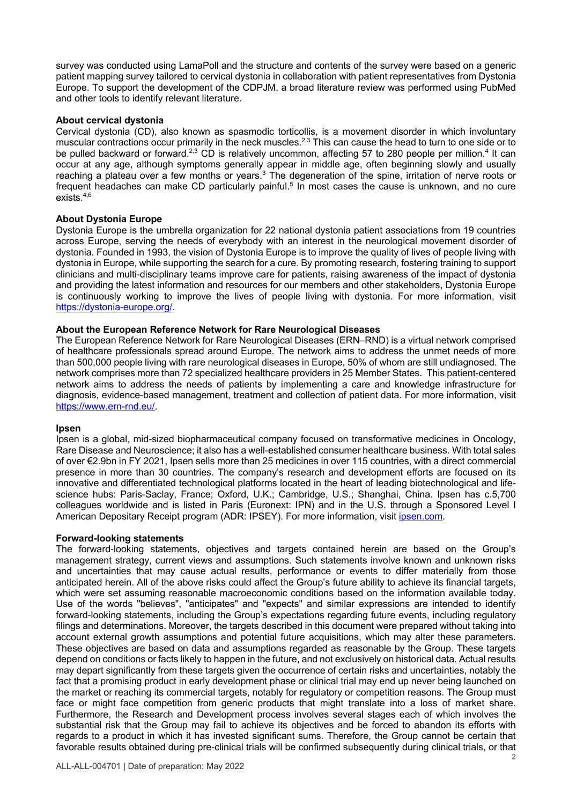survey was conducted using LamaPoll and the structure and contents of the survey were based on a generic patient mapping survey tailored to cervical dystonia in collaboration with patient representatives from Dystonia Europe. To support the development of the CDPJM, a broad literature review was performed using PubMed and other tools to identify relevant literature.

### **About cervical dystonia**

Cervical dystonia (CD), also known as spasmodic torticollis, is a movement disorder in which involuntary muscular contractions occur primarily in the neck muscles.2,3 This can cause the head to turn to one side or to be pulled backward or forward.<sup>2,3</sup> CD is relatively uncommon, affecting 57 to 280 people per million.<sup>4</sup> It can occur at any age, although symptoms generally appear in middle age, often beginning slowly and usually reaching a plateau over a few months or years.<sup>3</sup> The degeneration of the spine, irritation of nerve roots or frequent headaches can make CD particularly painful.<sup>5</sup> In most cases the cause is unknown, and no cure exists  $4,6$ 

## **About Dystonia Europe**

Dystonia Europe is the umbrella organization for 22 national dystonia patient associations from 19 countries across Europe, serving the needs of everybody with an interest in the neurological movement disorder of dystonia. Founded in 1993, the vision of Dystonia Europe is to improve the quality of lives of people living with dystonia in Europe, while supporting the search for a cure. By promoting research, fostering training to support clinicians and multi-disciplinary teams improve care for patients, raising awareness of the impact of dystonia and providing the latest information and resources for our members and other stakeholders, Dystonia Europe is continuously working to improve the lives of people living with dystonia. For more information, visit https://dystonia-europe.org/.

## **About the European Reference Network for Rare Neurological Diseases**

The European Reference Network for Rare Neurological Diseases (ERN–RND) is a virtual network comprised of healthcare professionals spread around Europe. The network aims to address the unmet needs of more than 500,000 people living with rare neurological diseases in Europe, 50% of whom are still undiagnosed. The network comprises more than 72 specialized healthcare providers in 25 Member States. This patient-centered network aims to address the needs of patients by implementing a care and knowledge infrastructure for diagnosis, evidence-based management, treatment and collection of patient data. For more information, visit https://www.ern-rnd.eu/.

### **Ipsen**

Ipsen is a global, mid-sized biopharmaceutical company focused on transformative medicines in Oncology, Rare Disease and Neuroscience; it also has a well-established consumer healthcare business. With total sales of over €2.9bn in FY 2021, Ipsen sells more than 25 medicines in over 115 countries, with a direct commercial presence in more than 30 countries. The company's research and development efforts are focused on its innovative and differentiated technological platforms located in the heart of leading biotechnological and lifescience hubs: Paris-Saclay, France; Oxford, U.K.; Cambridge, U.S.; Shanghai, China. Ipsen has c.5,700 colleagues worldwide and is listed in Paris (Euronext: IPN) and in the U.S. through a Sponsored Level I American Depositary Receipt program (ADR: IPSEY). For more information, visit ipsen.com.

### **Forward-looking statements**

The forward-looking statements, objectives and targets contained herein are based on the Group's management strategy, current views and assumptions. Such statements involve known and unknown risks and uncertainties that may cause actual results, performance or events to differ materially from those anticipated herein. All of the above risks could affect the Group's future ability to achieve its financial targets, which were set assuming reasonable macroeconomic conditions based on the information available today. Use of the words "believes", "anticipates" and "expects" and similar expressions are intended to identify forward-looking statements, including the Group's expectations regarding future events, including regulatory filings and determinations. Moreover, the targets described in this document were prepared without taking into account external growth assumptions and potential future acquisitions, which may alter these parameters. These objectives are based on data and assumptions regarded as reasonable by the Group. These targets depend on conditions or facts likely to happen in the future, and not exclusively on historical data. Actual results may depart significantly from these targets given the occurrence of certain risks and uncertainties, notably the fact that a promising product in early development phase or clinical trial may end up never being launched on the market or reaching its commercial targets, notably for regulatory or competition reasons. The Group must face or might face competition from generic products that might translate into a loss of market share. Furthermore, the Research and Development process involves several stages each of which involves the substantial risk that the Group may fail to achieve its objectives and be forced to abandon its efforts with regards to a product in which it has invested significant sums. Therefore, the Group cannot be certain that favorable results obtained during pre-clinical trials will be confirmed subsequently during clinical trials, or that